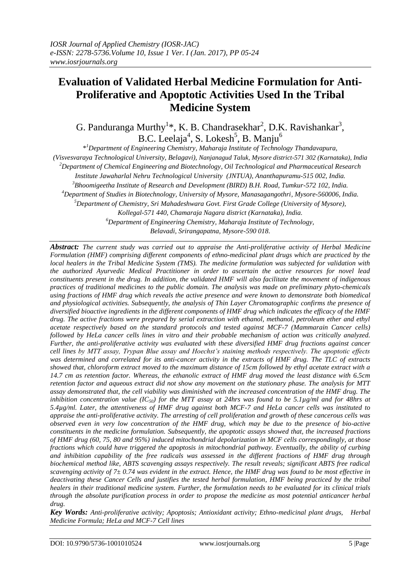# **Evaluation of Validated Herbal Medicine Formulation for Anti-Proliferative and Apoptotic Activities Used In the Tribal Medicine System**

G. Panduranga Murthy<sup>1</sup>\*, K. B. Chandrasekhar<sup>2</sup>, D.K. Ravishankar<sup>3</sup>, B.C. Leelaja<sup>4</sup>, S. Lokesh<sup>5</sup>, B. Manju<sup>6</sup>

\* *<sup>1</sup>Department of Engineering Chemistry, Maharaja Institute of Technology Thandavapura, (Visvesvaraya Technological University, Belagavi), Nanjanagud Taluk, Mysore district-571 302 (Karnataka), India <sup>2</sup>Department of Chemical Engineering and Biotechnology, Oil Technological and Pharmaceutical Research Institute Jawaharlal Nehru Technological University (JNTUA), Ananthapuramu-515 002, India. <sup>3</sup>Bhoomigeetha Institute of Research and Development (BIRD) B.H. Road, Tumkur-572 102, India. <sup>4</sup>Department of Studies in Biotechnology, University of Mysore, Manasagangothri, Mysore-560006, India. <sup>5</sup>Department of Chemistry, Sri Mahadeshwara Govt. First Grade College (University of Mysore), Kollegal-571 440, Chamaraja Nagara district (Karnataka), India. <sup>6</sup>Department of Engineering Chemistry, Maharaja Institute of Technology, Belavadi, Srirangapatna, Mysore-590 018.*

*Abstract: The current study was carried out to appraise the Anti-proliferative activity of Herbal Medicine Formulation (HMF) comprising different components of ethno-medicinal plant drugs which are practiced by the local healers in the Tribal Medicine System (TMS). The medicine formulation was subjected for validation with the authorized Ayurvedic Medical Practitioner in order to ascertain the active resources for novel lead constituents present in the drug. In addition, the validated HMF will also facilitate the movement of indigenous practices of traditional medicines to the public domain. The analysis was made on preliminary phyto-chemicals using fractions of HMF drug which reveals the active presence and were known to demonstrate both biomedical and physiological activities. Subsequently, the analysis of Thin Layer Chromatographic confirms the presence of diversified bioactive ingredients in the different components of HMF drug which indicates the efficacy of the HMF drug. The active fractions were prepared by serial extraction with ethanol, methanol, petroleum ether and ethyl acetate respectively based on the standard protocols and tested against MCF-7 (Mammarain Cancer cells) followed by HeLa cancer cells lines in vitro and their probable mechanism of action was critically analyzed. Further, the anti-proliferative activity was evaluated with these diversified HMF drug fractions against cancer cell lines by MTT assay, Trypan Blue assay and Hoechst's staining methods respectively. The apoptotic effects was determined and correlated for its anti-cancer activity in the extracts of HMF drug. The TLC of extracts showed that, chloroform extract moved to the maximum distance of 15cm followed by ethyl acetate extract with a 14.7 cm as retention factor. Whereas, the ethanolic extract of HMF drug moved the least distance with 6.5cm retention factor and aqueous extract did not show any movement on the stationary phase. The analysis for MTT assay demonstrated that, the cell viability was diminished with the increased concentration of the HMF drug. The inhibition concentration value (IC*<sub>50</sub>*) for the MTT assay at 24hrs was found to be 5.1µg/ml and for 48hrs at 5.4µg/ml. Later, the attentiveness of HMF drug against both MCF-7 and HeLa cancer cells was instituted to appraise the anti-proliferative activity. The arresting of cell proliferation and growth of these cancerous cells was observed even in very low concentration of the HMF drug, which may be due to the presence of bio-active constituents in the medicine formulation. Subsequently, the apoptotic assays showed that, the increased fractions of HMF drug (60, 75, 80 and 95%) induced mitochondrial depolarization in MCF cells correspondingly, at those fractions which could have triggered the apoptosis in mitochondrial pathway. Eventually, the ability of curbing and inhibition capability of the free radicals was assessed in the different fractions of HMF drug through biochemical method like, ABTS scavenging assays respectively. The result reveals; significant ABTS free radical scavenging activity of 7± 0.74 was evident in the extract. Hence, the HMF drug was found to be most effective in deactivating these Cancer Cells and justifies the tested herbal formulation, HMF being practiced by the tribal healers in their traditional medicine system. Further, the formulation needs to be evaluated for its clinical trials through the absolute purification process in order to propose the medicine as most potential anticancer herbal drug.*

*Key Words: Anti-proliferative activity; Apoptosis; Antioxidant activity; Ethno-medicinal plant drugs, Herbal Medicine Formula; HeLa and MCF-7 Cell lines*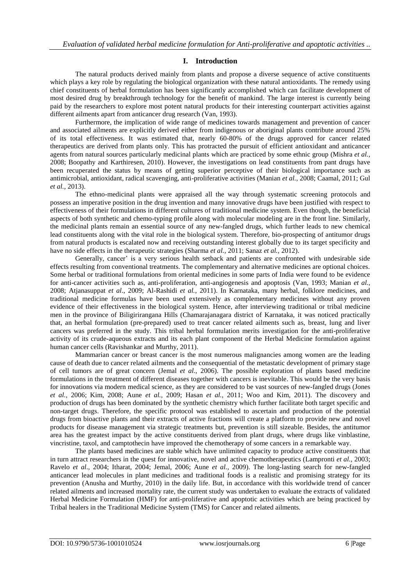# **I. Introduction**

The natural products derived mainly from plants and propose a diverse sequence of active constituents which plays a key role by regulating the biological organization with these natural antioxidants. The remedy using chief constituents of herbal formulation has been significantly accomplished which can facilitate development of most desired drug by breakthrough technology for the benefit of mankind. The large interest is currently being paid by the researchers to explore most potent natural products for their interesting counterpart activities against different ailments apart from anticancer drug research (Van, 1993).

Furthermore, the implication of wide range of medicines towards management and prevention of cancer and associated ailments are explicitly derived either from indigenous or aboriginal plants contribute around 25% of its total effectiveness. It was estimated that, nearly 60-80% of the drugs approved for cancer related therapeutics are derived from plants only. This has protracted the pursuit of efficient antioxidant and anticancer agents from natural sources particularly medicinal plants which are practiced by some ethnic group (Mishra *et al.,*  2008; Boopathy and Karthiresen, 2010). However, the investigations on lead constituents from pant drugs have been recuperated the status by means of getting superior perceptive of their biological importance such as antimicrobial, antioxidant, radical scavenging, anti-proliferative activities (Manian *et al.,* 2008; Caamal, 2011; Gul *et al.,* 2013).

The ethno-medicinal plants were appraised all the way through systematic screening protocols and possess an imperative position in the drug invention and many innovative drugs have been justified with respect to effectiveness of their formulations in different cultures of traditional medicine system. Even though, the beneficial aspects of both synthetic and chemo-typing profile along with molecular modeling are in the front line. Similarly, the medicinal plants remain an essential source of any new-fangled drugs, which further leads to new chemical lead constituents along with the vital role in the biological system. Therefore, bio-prospecting of antitumor drugs from natural products is escalated now and receiving outstanding interest globally due to its target specificity and have no side effects in the therapeutic strategies (Sharma *et al.,* 2011; Sanaz *et al.,* 2012).

Generally, cancer' is a very serious health setback and patients are confronted with undesirable side effects resulting from conventional treatments. The complementary and alternative medicines are optional choices. Some herbal or traditional formulations from oriental medicines in some parts of India were found to be evidence for anti-cancer activities such as, anti-proliferation, anti-angiogenesis and apoptosis (Van, 1993; Manian *et al.,*  2008; Atjanasuppat *et al*., 2009; Al-Rashidi *et al.*, 2011). In Karnataka, many herbal, folklore medicines, and traditional medicine formulas have been used extensively as complementary medicines without any proven evidence of their effectiveness in the biological system. Hence, after interviewing traditional or tribal medicine men in the province of Biligirirangana Hills (Chamarajanagara district of Karnataka, it was noticed practically that, an herbal formulation (pre-prepared) used to treat cancer related ailments such as, breast, lung and liver cancers was preferred in the study. This tribal herbal formulation merits investigation for the anti-proliferative activity of its crude-aqueous extracts and its each plant component of the Herbal Medicine formulation against human cancer cells (Ravishankar and Murthy, 2011).

Mammarian cancer or breast cancer is the most numerous malignancies among women are the leading cause of death due to cancer related ailments and the consequential of the metastatic development of primary stage of cell tumors are of great concern (Jemal *et al.,* 2006). The possible exploration of plants based medicine formulations in the treatment of different diseases together with cancers is inevitable. This would be the very basis for innovations via modern medical science, as they are considered to be vast sources of new-fangled drugs (Jones *et al.,* 2006; Kim, 2008; Aune *et al.,* 2009; Hasan *et al.,* 2011; Woo and Kim, 2011). The discovery and production of drugs has been dominated by the synthetic chemistry which further facilitate both target specific and non-target drugs. Therefore, the specific protocol was established to ascertain and production of the potential drugs from bioactive plants and their extracts of active fractions will create a platform to provide new and novel products for disease management via strategic treatments but, prevention is still sizeable. Besides, the antitumor area has the greatest impact by the active constituents derived from plant drugs, where drugs like vinblastine, vincristine, taxol, and camptothecin have improved the chemotherapy of some cancers in a remarkable way.

The plants based medicines are stable which have unlimited capacity to produce active constituents that in turn attract researchers in the quest for innovative, novel and active chemotherapeutics (Lampronti *et al.,* 2003; Ravelo *et al*., 2004; Itharat*,* 2004; Jemal, 2006; Aune *et al.,* 2009). The long-lasting search for new-fangled anticancer lead molecules in plant medicines and traditional foods is a realistic and promising strategy for its prevention (Anusha and Murthy, 2010) in the daily life. But, in accordance with this worldwide trend of cancer related ailments and increased mortality rate, the current study was undertaken to evaluate the extracts of validated Herbal Medicine Formulation (HMF) for anti-proliferative and apoptotic activities which are being practiced by Tribal healers in the Traditional Medicine System (TMS) for Cancer and related ailments.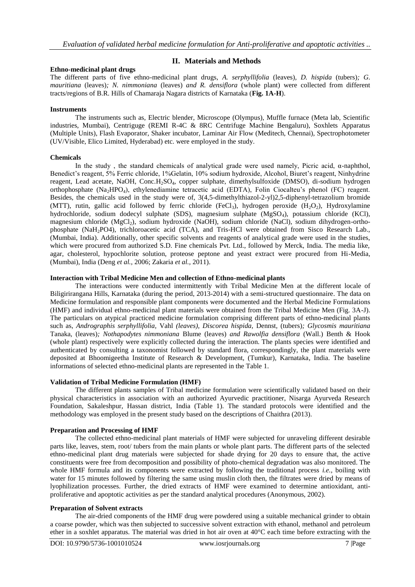## **Ethno-medicinal plant drugs**

# **II. Materials and Methods**

The different parts of five ethno-medicinal plant drugs, *A. serphyllifolia* (leaves)*, D. hispida* (tubers)*; G. mauritiana* (leaves)*; N. nimmoniana* (leaves) *and R. densiflora* (whole plant) were collected from different tracts/regions of B.R. Hills of Chamaraja Nagara districts of Karnataka (**Fig. 1A-H**).

#### **Instruments**

The instruments such as, Electric blender, Microscope (Olympus), Muffle furnace (Meta lab, Scientific industries, Mumbai), Centriguge (REMI R-4C & 8RC Centrifuge Machine Bengaluru), Soxhlets Apparatus (Multiple Units), Flash Evaporator, Shaker incubator, Laminar Air Flow (Meditech, Chennai), Spectrophotometer (UV/Visible, Elico Limited, Hyderabad) etc. were employed in the study.

## **Chemicals**

In the study, the standard chemicals of analytical grade were used namely, Picric acid,  $\alpha$ -naphthol, Benedict's reagent, 5% Ferric chloride, 1%Gelatin, 10% sodium hydroxide, Alcohol, Biuret's reagent, Ninhydrine reagent, Lead acetate, NaOH, Conc.H<sub>2</sub>SO<sub>4</sub>, copper sulphate, dimethylsulfoxide (DMSO), di-sodium hydrogen orthophosphate (Na2HPO4), ethylenediamine tetracetic acid (EDTA), Folin Ciocalteu's phenol (FC) reagent. Besides, the chemicals used in the study were of, 3(4,5-dimethylthiazol-2-yl)2,5-diphenyl-tetrazolium bromide (MTT), rutin, gallic acid followed by ferric chloride (FeCl<sub>3</sub>), hydrogen peroxide (H<sub>2</sub>O<sub>2</sub>), Hydroxylamine hydrochloride, sodium dodecyl sulphate (SDS), magnesium sulphate (MgSO4), potassium chloride (KCl), magnesium chloride (MgCl<sub>2</sub>), sodium hydroxide (NaOH), sodium chloride (NaCl), sodium dihydrogen-orthophosphate (NaH2PO4), trichloroacetic acid (TCA), and Tris-HCl were obtained from Sisco Research Lab., (Mumbai, India). Additionally, other specific solvents and reagents of analytical grade were used in the studies, which were procured from authorized S.D. Fine chemicals Pvt. Ltd., followed by Merck, India. The media like, agar, cholesterol, hypochlorite solution, proteose peptone and yeast extract were procured from Hi-Media, (Mumbai), India (Deng *et al.,* 2006; Zakaria *et al.,* 2011).

#### **Interaction with Tribal Medicine Men and collection of Ethno-medicinal plants**

The interactions were conducted intermittently with Tribal Medicine Men at the different locale of Biligirirangana Hills, Karnataka (during the period, 2013-2014) with a semi-structured questionnaire. The data on Medicine formulation and responsible plant components were documented and the Herbal Medicine Formulations (HMF) and individual ethno-medicinal plant materials were obtained from the Tribal Medicine Men (Fig. 3A-J). The particulars on atypical practiced medicine formulation comprising different parts of ethno-medicinal plants such as, *Andrographis serphyllifolia,* Vahl *(leaves), Discorea hispida,* Dennst*,* (tubers)*; Glycosmis mauritiana*  Tanaka*,* (leaves)*; Nothapodytes nimmoniana* Blume (leaves) *and Rawolfia densiflora* (Wall.) Benth & Hook (whole plant) respectively were explicitly collected during the interaction. The plants species were identified and authenticated by consulting a taxonomist followed by standard flora, correspondingly, the plant materials were deposited at Bhoomigeetha Institute of Research & Development, (Tumkur), Karnataka, India. The baseline informations of selected ethno-medicinal plants are represented in the Table 1.

## **Validation of Tribal Medicine Formulation (HMF)**

The different plants samples of Tribal medicine formulation were scientifically validated based on their physical characteristics in association with an authorized Ayurvedic practitioner, Nisarga Ayurveda Research Foundation, Sakaleshpur, Hassan district, India (Table 1). The standard protocols were identified and the methodology was employed in the present study based on the descriptions of Chaithra (2013).

## **Preparation and Processing of HMF**

The collected ethno-medicinal plant materials of HMF were subjected for unraveling different desirable parts like, leaves, stem, root/ tubers from the main plants or whole plant parts. The different parts of the selected ethno-medicinal plant drug materials were subjected for shade drying for 20 days to ensure that, the active constituents were free from decomposition and possibility of photo-chemical degradation was also monitored. The whole HMF formula and its components were extracted by following the traditional process *i.e.*, boiling with water for 15 minutes followed by filtering the same using muslin cloth then, the filtrates were dried by means of lyophilization processes. Further, the dried extracts of HMF were examined to determine antioxidant, antiproliferative and apoptotic activities as per the standard analytical procedures (Anonymous, 2002).

## **Preparation of Solvent extracts**

The air-dried components of the HMF drug were powdered using a suitable mechanical grinder to obtain a coarse powder, which was then subjected to successive solvent extraction with ethanol, methanol and petroleum ether in a soxhlet apparatus. The material was dried in hot air oven at 40°C each time before extracting with the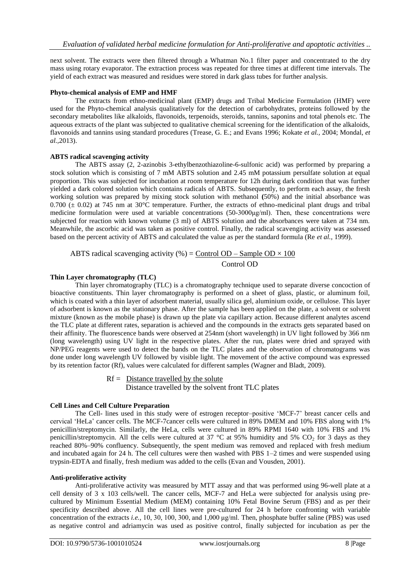next solvent. The extracts were then filtered through a Whatman No.1 filter paper and concentrated to the dry mass using rotary evaporator. The extraction process was repeated for three times at different time intervals. The yield of each extract was measured and residues were stored in dark glass tubes for further analysis.

# **Phyto-chemical analysis of EMP and HMF**

The extracts from ethno-medicinal plant (EMP) drugs and Tribal Medicine Formulation (HMF) were used for the Phyto-chemical analysis qualitatively for the detection of carbohydrates, proteins followed by the secondary metabolites like alkaloids, flavonoids, terpenoids, steroids, tannins, saponins and total phenols etc. The aqueous extracts of the plant was subjected to qualitative chemical screening for the identification of the alkaloids, flavonoids and tannins using standard procedures (Trease, G. E.; and Evans 1996; Kokate *et al.,* 2004; Mondal, *et al.,*2013).

## **ABTS radical scavenging activity**

The ABTS assay (2, 2-azinobis 3-ethylbenzothiazoline-6-sulfonic acid) was performed by preparing a stock solution which is consisting of 7 mM ABTS solution and 2.45 mM potassium persulfate solution at equal proportion. This was subjected for incubation at room temperature for 12h during dark condition that was further yielded a dark colored solution which contains radicals of ABTS. Subsequently, to perform each assay, the fresh working solution was prepared by mixing stock solution with methanol **(**50%) and the initial absorbance was  $0.700 \div 0.02$ ) at 745 nm at 30°C temperature. Further, the extracts of ethno-medicinal plant drugs and tribal medicine formulation were used at variable concentrations (50-3000μg/ml). Then, these concentrations were subjected for reaction with known volume (3 ml) of ABTS solution and the absorbances were taken at 734 nm. Meanwhile, the ascorbic acid was taken as positive control. Finally, the radical scavenging activity was assessed based on the percent activity of ABTS and calculated the value as per the standard formula (Re *et al.,* 1999).

ABTS radical scavenging activity (%) = Control OD – Sample OD  $\times$  100 Control OD

## **Thin Layer chromatography (TLC)**

Thin layer chromatography (TLC) is a [chromatography](http://en.wikipedia.org/wiki/Chromatography) technique used to separate diverse concoction of bioactive constituents. Thin layer chromatography is performed on a sheet of glass, plastic, or aluminum foil, which is coated with a thin layer of [adsorbent](http://en.wikipedia.org/wiki/Adsorbent) material, usually [silica gel,](http://en.wikipedia.org/wiki/Silica_gel) [aluminium oxide,](http://en.wikipedia.org/wiki/Aluminium_oxide) or [cellulose.](http://en.wikipedia.org/wiki/Cellulose) This layer of adsorbent is known as the [stationary phase.](http://en.wikipedia.org/wiki/Stationary_phase) After the sample has been applied on the plate, a [solvent](http://en.wikipedia.org/wiki/Solvent) or solvent mixture (known as the [mobile phase\)](http://en.wikipedia.org/wiki/Mobile_phase) is drawn up the plate via [capillary action.](http://en.wikipedia.org/wiki/Capillary_action) Because different [analytes](http://en.wikipedia.org/wiki/Analyte) ascend the TLC plate at different rates, separation is achieved and the compounds in the extracts gets separated based on their affinity. The fluorescence bands were observed at 254nm (short wavelength) in UV light followed by 366 nm (long wavelength) using UV light in the respective plates. After the run, plates were dried and sprayed with NP/PEG reagents were used to detect the bands on the TLC plates and the observation of chromatograms was done under long wavelength UV followed by visible light. The movement of the active compound was expressed by its retention factor (Rf), values were calculated for different samples (Wagner and Bladt, 2009).

# $Rf =$  Distance travelled by the solute Distance travelled by the solvent front TLC plates

## **Cell Lines and Cell Culture Preparation**

The Cell- lines used in this study were of estrogen receptor–positive 'MCF-7' breast cancer cells and cervical 'HeLa' cancer cells. The MCF-7cancer cells were cultured in 89% DMEM and 10% FBS along with 1% penicillin/streptomycin. Similarly, the HeLa, cells were cultured in 89% RPMI 1640 with 10% FBS and 1% penicillin/streptomycin. All the cells were cultured at 37  $\degree$ C at 95% humidity and 5% CO<sub>2</sub> for 3 days as they reached 80%–90% confluency. Subsequently, the spent medium was removed and replaced with fresh medium and incubated again for 24 h. The cell cultures were then washed with PBS 1–2 times and were suspended using trypsin-EDTA and finally, fresh medium was added to the cells (Evan and Vousden, 2001).

## **Anti-proliferative activity**

Anti-proliferative activity was measured by MTT assay and that was performed using 96-well plate at a cell density of 3 x 103 cells/well. The cancer cells, MCF-7 and HeLa were subjected for analysis using precultured by Minimum Essential Medium (MEM) containing 10% Fetal Bovine Serum (FBS) and as per their specificity described above. All the cell lines were pre-cultured for 24 h before confronting with variable concentration of the extracts *i.e.,* 10, 30, 100, 300, and 1,000 μg/ml. Then, phosphate buffer saline (PBS) was used as negative control and adriamycin was used as positive control, finally subjected for incubation as per the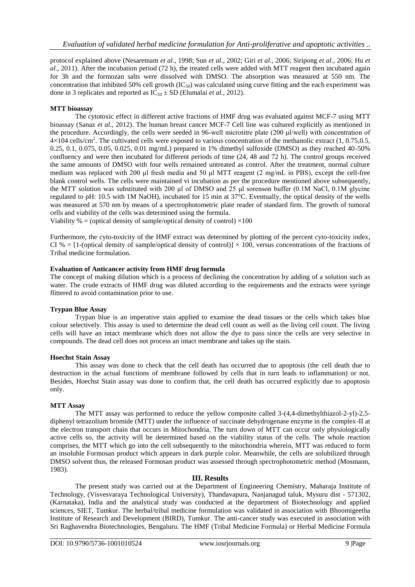protocol explained above (Nesaretnam *et al*., 1998; Sun *et al*., 2002; Giri *et al.*, 2006; Siripong *et al.,* 2006; Hu *et al.*, 2011). After the incubation period (72 h), the treated cells were added with MTT reagent then incubated again for 3h and the formozan salts were dissolved with DMSO. The absorption was measured at 550 nm. The concentration that inhibited 50% cell growth  $(IC_{50})$  was calculated using curve fitting and the each experiment was done in 3 replicates and reported as  $IC_{50} \pm SD$  (Elumalai *et al.,* 2012).

# **MTT bioassay**

The cytotoxic effect in different active fractions of HMF drug was evaluated against MCF-7 using MTT bioassay (Sanaz *et al.,* 2012). The human breast cancer MCF-7 Cell line was cultured explicitly as mentioned in the procedure. Accordingly, the cells were seeded in 96-well microtitre plate (200 μl/well) with concentration of  $4\times104$  cells/cm<sup>2</sup>. The cultivated cells were exposed to various concentration of the methanolic extract (1, 0.75,0.5, 0.25, 0.1, 0.075, 0.05, 0.025, 0.01 mg/mL) prepared in 1% dimethyl sulfoxide (DMSO) as they reached 40-50% confluency and were then incubated for different periods of time (24, 48 and 72 h). The control groups received the same amounts of DMSO with four wells remained untreated as control. After the treatment, normal culture medium was replaced with 200 μl fresh media and 50 μl MTT reagent (2 mg/mL in PBS), except the cell-free blank control wells. The cells were maintained vi incubation as per the procedure mentioned above subsequently, the MTT solution was substituted with 200 μl of DMSO and 25 μl sorenson buffer (0.1M NaCl, 0.1M glycine regulated to pH: 10.5 with 1M NaOH), incubated for 15 min at 37°C. Eventually, the optical density of the wells was measured at 570 nm by means of a spectrophotometric plate reader of standard firm. The growth of tumoral cells and viability of the cells was determined using the formula.

Viability % = (optical density of sample/optical density of control)  $\times 100$ 

Furthermore, the cyto-toxicity of the HMF extract was determined by plotting of the percent cyto-toxicity index, CI % = [1-(optical density of sample/optical density of control)]  $\times$  100, versus concentrations of the fractions of Tribal medicine formulation.

## **Evaluation of Anticancer activity from HMF drug formula**

The concept of making dilution which is a process of declining the concentration by adding of a solution such as water. The crude extracts of HMF drug was diluted according to the requirements and the extracts were syringe flittered to avoid contamination prior to use.

# **Trypan Blue Assay**

Trypan blue is an imperative stain applied to examine the dead tissues or the cells which takes blue colour selectively. This assay is used to determine the dead cell count as well as the living cell count. The living cells will have an intact membrane which does not allow the dye to pass since the cells are very selective in compounds. The dead cell does not process an intact membrane and takes up the stain.

## **Hoechst Stain Assay**

This assay was done to check that the cell death has occurred due to apoptosis (the cell death due to destruction in the actual functions of membrane followed by cells that in turn leads to inflammation) or not. Besides, Hoechst Stain assay was done to confirm that, the cell death has occurred explicitly due to apoptosis only.

# **MTT Assay**

The MTT assay was performed to reduce the yellow composite called 3-(4,4-dimethylthiazol-2-yl)-2,5 diphenyl tetrazolium bromide (MTT) under the influence of succinate dehydrogenase enzyme in the complex-II at the electron transport chain that occurs in Mitochondria. The turn down of MTT can occur only physiologically active cells so, the activity will be determined based on the viability status of the cells. The whole reaction comprises, the MTT which go into the cell subsequently to the mitochondria wherein, MTT was reduced to form an insoluble Formosan product which appears in dark purple color. Meanwhile, the cells are solubilized through DMSO solvent thus, the released Formosan product was assessed through spectrophotometric method (Mosmann, 1983).

# **III. Results**

The present study was carried out at the Department of Engineering Chemistry, Maharaja Institute of Technology, (Visvesvaraya Technological University), Thandavapura, Nanjanagud taluk, Mysuru dist - 571302, (Karnataka), India and the analytical study was conducted at the department of Biotechnology and applied sciences, SIET, Tumkur. The herbal/tribal medicine formulation was validated in association with Bhoomigeetha Institute of Research and Development (BIRD), Tumkur. The anti-cancer study was executed in association with Sri Raghavendra Biotechnologies, Bengaluru. The HMF (Tribal Medicine Formula) or Herbal Medicine Formula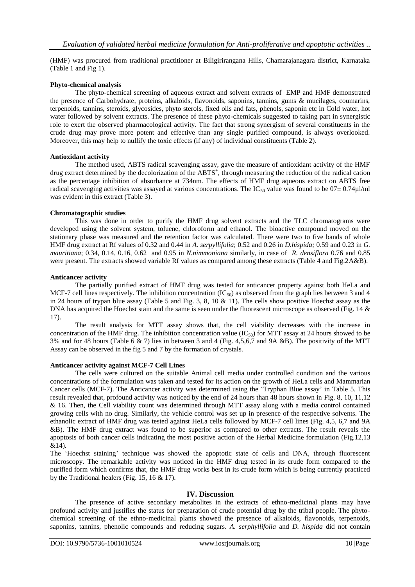(HMF) was procured from traditional practitioner at Biligirirangana Hills, Chamarajanagara district, Karnataka (Table 1 and Fig 1).

## **Phyto-chemical analysis**

The phyto-chemical screening of aqueous extract and solvent extracts of EMP and HMF demonstrated the presence of Carbohydrate, proteins, alkaloids, flavonoids, saponins, tannins, gums & mucilages, coumarins, terpenoids, tannins, steroids, glycosides, phyto sterols, fixed oils and fats, phenols, saponin etc in Cold water, hot water followed by solvent extracts. The presence of these phyto-chemicals suggested to taking part in synergistic role to exert the observed pharmacological activity. The fact that strong synergism of several constituents in the crude drug may prove more potent and effective than any single purified compound, is always overlooked. Moreover, this may help to nullify the toxic effects (if any) of individual constituents (Table 2).

## **Antioxidant activity**

The method used, ABTS radical scavenging assay, gave the measure of antioxidant activity of the HMF drug extract determined by the decolorization of the ABTS<sup>+</sup>, through measuring the reduction of the radical cation as the percentage inhibition of absorbance at 734nm. The effects of HMF drug aqueous extract on ABTS free radical scavenging activities was assayed at various concentrations. The IC<sub>50</sub> value was found to be  $07 \pm 0.74 \mu$ l/ml was evident in this extract (Table 3).

## **Chromatographic studies**

This was done in order to purify the HMF drug solvent extracts and the TLC chromatograms were developed using the solvent system, toluene, chloroform and ethanol. The bioactive compound moved on the stationary phase was measured and the retention factor was calculated. There were two to five bands of whole HMF drug extract at Rf values of 0.32 and 0.44 in *A. serpyllifolia*; 0.52 and 0.26 in *D.hispida;* 0.59 and 0.23 in *G. mauritiana*; 0.34, 0.14, 0.16, 0.62 and 0.95 in *N.nimmoniana* similarly, in case of *R. densiflora* 0.76 and 0.85 were present. The extracts showed variable Rf values as compared among these extracts (Table 4 and Fig.2A&B).

## **Anticancer activity**

The partially purified extract of HMF drug was tested for anticancer property against both HeLa and MCF-7 cell lines respectively. The inhibition concentration  $(IC_{50})$  as observed from the graph lies between 3 and 4 in 24 hours of trypan blue assay (Table 5 and Fig. 3, 8, 10 & 11). The cells show positive Hoechst assay as the DNA has acquired the Hoechst stain and the same is seen under the fluorescent microscope as observed (Fig. 14 & 17).

The result analysis for MTT assay shows that, the cell viability decreases with the increase in concentration of the HMF drug. The inhibition concentration value  $(IC_{50})$  for MTT assay at 24 hours showed to be 3% and for 48 hours (Table 6 & 7) lies in between 3 and 4 (Fig. 4,5,6,7 and 9A &B). The positivity of the MTT Assay can be observed in the fig 5 and 7 by the formation of crystals.

## **Anticancer activity against MCF-7 Cell Lines**

The cells were cultured on the suitable Animal cell media under controlled condition and the various concentrations of the formulation was taken and tested for its action on the growth of HeLa cells and Mammarian Cancer cells (MCF-7). The Anticancer activity was determined using the 'Tryphan Blue assay' in Table 5. This result revealed that, profound activity was noticed by the end of 24 hours than 48 hours shown in Fig. 8, 10, 11,12 & 16. Then, the Cell viability count was determined through MTT assay along with a media control contained growing cells with no drug. Similarly, the vehicle control was set up in presence of the respective solvents. The ethanolic extract of HMF drug was tested against HeLa cells followed by MCF-7 cell lines (Fig. 4,5, 6,7 and 9A &B). The HMF drug extract was found to be superior as compared to other extracts. The result reveals the apoptosis of both cancer cells indicating the most positive action of the Herbal Medicine formulation (Fig.12,13  $&14$ ).

The 'Hoechst staining' technique was showed the apoptotic state of cells and DNA, through fluorescent microscopy. The remarkable activity was noticed in the HMF drug tested in its crude form compared to the purified form which confirms that, the HMF drug works best in its crude form which is being currently practiced by the Traditional healers (Fig. 15, 16 & 17).

# **IV. Discussion**

The presence of active secondary metabolites in the extracts of ethno-medicinal plants may have profound activity and justifies the status for preparation of crude potential drug by the tribal people. The phytochemical screening of the ethno-medicinal plants showed the presence of alkaloids, flavonoids, terpenoids, saponins, tannins, phenolic compounds and reducing sugars. *A. serphyllifolia* and *D. hispida* did not contain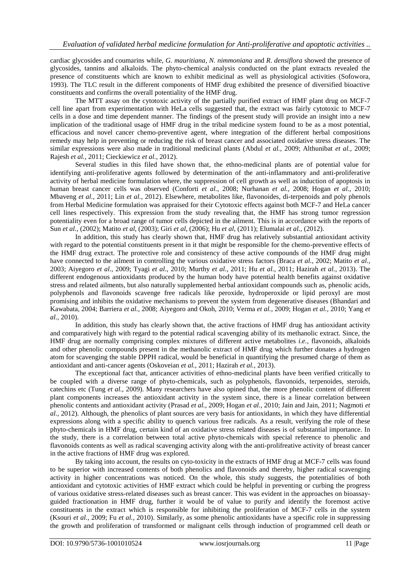cardiac glycosides and coumarins while, *G. mauritiana*, *N. nimmoniana* and *R. densiflora* showed the presence of glycosides, tannins and alkaloids. The phyto-chemical analysis conducted on the plant extracts revealed the presence of constituents which are known to exhibit medicinal as well as physiological activities (Sofowora, 1993). The TLC result in the different components of HMF drug exhibited the presence of diversified bioactive constituents and confirms the overall potentiality of the HMF drug.

The MTT assay on the cytotoxic activity of the partially purified extract of HMF plant drug on MCF-7 cell line apart from experimentation with HeLa cells suggested that, the extract was fairly cytotoxic to MCF-7 cells in a dose and time dependent manner. The findings of the present study will provide an insight into a new implication of the traditional usage of HMF drug in the tribal medicine system found to be as a most potential, efficacious and novel cancer chemo-preventive agent, where integration of the different herbal compositions remedy may help in preventing or reducing the risk of breast cancer and associated oxidative stress diseases. The similar expressions were also made in traditional medicinal plants (Abdul *et al.,* 2009; Althunibat *et al.,* 2009; Rajesh *et al.,* 2011; Cieckiewicz *et al.,* 2012).

Several studies in this filed have shown that, the ethno-medicinal plants are of potential value for identifying anti-proliferative agents followed by determination of the anti-inflammatory and anti-proliferative activity of herbal medicine formulation where, the suppression of cell growth as well as induction of apoptosis in human breast cancer cells was observed (Conforti *et al.,* 2008; Nurhanan *et al.,* 2008; Hogan *et al.,* 2010; Mbaveng *et al.,* 2011; Lin *et al.,* 2012). Elsewhere, metabolites like, flavonoides, di-terpenoids and poly phenols from Herbal Medicine formulation was appraised for their Cytotoxic effects against both MCF-7 and HeLa cancer cell lines respectively. This expression from the study revealing that, the HMF has strong tumor regression potentiality even for a broad range of tumor cells depicted in the ailment. This is in accordance with the reports of Sun *et al.,* (2002); Matito *et al,* (2003); Giri *et al*, (2006); Hu *et al*, (2011); Elumalai *et al.,* (2012).

In addition, this study has clearly shown that, HMF drug has relatively substantial antioxidant activity with regard to the potential constituents present in it that might be responsible for the chemo-preventive effects of the HMF drug extract. The protective role and consistency of these active compounds of the HMF drug might have connected to the ailment in controlling the various oxidative stress factors (Braca *et al.,* 2002; Matito *et al.,*  2003; Aiyegoro *et al.,* 2009; Tyagi *et al.,* 2010; Murthy *et al.,* 2011; Hu *et al.,* 2011; Hazirah *et al.,* 2013). The different endogenous antioxidants produced by the human body have potential health benefits against oxidative stress and related ailments, but also naturally supplemented herbal antioxidant compounds such as, phenolic acids, polyphenols and flavonoids scavenge free radicals like peroxide, hydroperoxide or lipid peroxyl are most promising and inhibits the oxidative mechanisms to prevent the system from degenerative diseases (Bhandari and Kawabata, 2004; Barriera *et al.,* 2008; Aiyegoro and Okoh*,* 2010; Verma *et al.,* 2009; Hogan *et al.,* 2010; Yang *et al.,* 2010).

In addition, this study has clearly shown that, the active fractions of HMF drug has antioxidant activity and comparatively high with regard to the potential radical scavenging ability of its methanolic extract. Since, the HMF drug are normally comprising complex mixtures of different active metabolites *i.e.,* flavonoids, alkaloids and other phenolic compounds present in the methanolic extract of HMF drug which further donates a hydrogen atom for scavenging the stable DPPH radical, would be beneficial in quantifying the presumed charge of them as antioxidant and anti-cancer agents (Oskoveian *et al.,* 2011; Hazirah *et al.,* 2013).

The exceptional fact that, anticancer activities of ethno-medicinal plants have been verified critically to be coupled with a diverse range of phyto-chemicals, such as polyphenols, flavonoids, terpenoides, steroids, catechins etc (Tung *et al.,* 2009). Many researchers have also opined that, the more phenolic content of different plant components increases the antioxidant activity in the system since, there is a linear correlation between phenolic contents and antioxidant activity (Prasad *et al.,* 2009; Hogan *et al.,* 2010; Jain and Jain, 2011; Nagmoti *et al.,* 2012). Although, the phenolics of plant sources are very basis for antioxidants, in which they have differential expressions along with a specific ability to quench various free radicals. As a result, verifying the role of these phyto-chemicals in HMF drug, certain kind of an oxidative stress related diseases is of substantial importance. In the study, there is a correlation between total active phyto-chemicals with special reference to phenolic and flavonoids contents as well as radical scavenging activity along with the anti-prolifreative activity of breast cancer in the active fractions of HMF drug was explored.

By taking into account, the results on cyto-toxicity in the extracts of HMF drug at MCF-7 cells was found to be superior with increased contents of both phenolics and flavonoids and thereby, higher radical scavenging activity in higher concentrations was noticed. On the whole, this study suggests, the potentialities of both antioxidant and cytotoxic activities of HMF extract which could be helpful in preventing or curbing the progress of various oxidative stress-related diseases such as breast cancer. This was evident in the approaches on bioassayguided fractionation in HMF drug, further it would be of value to purify and identify the foremost active constituents in the extract which is responsible for inhibiting the proliferation of MCF-7 cells in the system (Ksouri *et al.,* 2009; Fu *et al.,* 2010). Similarly, as some phenolic antioxidants have a specific role in suppressing the growth and proliferation of transformed or malignant cells through induction of programmed cell death or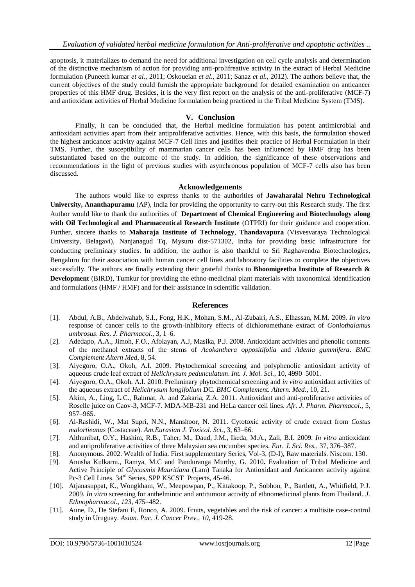apoptosis, it materializes to demand the need for additional investigation on cell cycle analysis and determination of the distinctive mechanism of action for providing anti-prolifreative activity in the extract of Herbal Medicine formulation (Puneeth kumar *et al.,* 2011; Oskoueian *et al.,* 2011; Sanaz *et al.,* 2012). The authors believe that, the current objectives of the study could furnish the appropriate background for detailed examination on anticancer properties of this HMF drug. Besides, it is the very first report on the analysis of the anti-proliferative (MCF-7) and antioxidant activities of Herbal Medicine formulation being practiced in the Tribal Medicine System (TMS).

## **V. Conclusion**

Finally, it can be concluded that, the Herbal medicine formulation has potent antimicrobial and antioxidant activities apart from their antiproliferative activities. Hence, with this basis, the formulation showed the highest anticancer activity against MCF-7 Cell lines and justifies their practice of Herbal Formulation in their TMS. Further, the susceptibility of mammarian cancer cells has been influenced by HMF drug has been substantiated based on the outcome of the study. In addition, the significance of these observations and recommendations in the light of previous studies with asynchronous population of MCF-7 cells also has been discussed.

## **Acknowledgements**

The authors would like to express thanks to the authorities of **Jawaharalal Nehru Technological University, Ananthapuramu** (AP), India for providing the opportunity to carry-out this Research study. The first Author would like to thank the authorities of **Department of Chemical Engineering and Biotechnology along with Oil Technological and Pharmaceutical Research Institute** (OTPRI) for their guidance and cooperation. Further, sincere thanks to **Maharaja Institute of Technology**, **Thandavapura** (Visvesvaraya Technological University, Belagavi), Nanjanagud Tq, Mysuru dist-571302, India for providing basic infrastructure for conducting preliminary studies. In addition, the author is also thankful to Sri Raghavendra Biotechnologies, Bengaluru for their association with human cancer cell lines and laboratory facilities to complete the objectives successfully. The authors are finally extending their grateful thanks to **Bhoomigeetha Institute of Research & Development** (BIRD), Tumkur for providing the ethno-medicinal plant materials with taxonomical identification and formulations (HMF / HMF) and for their assistance in scientific validation.

## **References**

- [1]. Abdul, A.B., Abdelwahab, S.I., Fong, H.K., Mohan, S.M., Al-Zubairi, A.S., Elhassan, M.M. 2009*. In vitro*  response of cancer cells to the growth-inhibitory effects of dichloromethane extract of *Goniothalamus umbrosus*. *Res. J. Pharmacol.*, 3, 1–6.
- [2]. Adedapo, A.A., Jimoh, F.O., Afolayan, A.J, Masika, P.J. 2008. Antioxidant activities and phenolic contents of the methanol extracts of the stems of *Acokanthera oppositifolia* and *Adenia gummifera*. *BMC Complement Altern Med*, 8, 54.
- [3]. Aiyegoro, O.A., Okoh, A.I. 2009. Phytochemical screening and polyphenolic antioxidant activity of aqueous crude leaf extract of *Helichrysum pedunculatum*. *Int. J. Mol. Sci.*, 10, 4990–5001.
- [4]. Aiyegoro, O.A., Okoh, A.I. 2010. Preliminary phytochemical screening and *in vitro* antioxidant activities of the aqueous extract of *Helichrysum longifolium* DC. *BMC Complement. Altern. Med.*, 10, 21.
- [5]. Akim, A., Ling, L.C., Rahmat, A. and Zakaria, Z.A. 2011. Antioxidant and anti-proliferative activities of Roselle juice on Caov-3, MCF-7. MDA-MB-231 and HeLa cancer cell lines. *Afr. J. Pharm. Pharmacol*., 5, 957–965.
- [6]. Al-Rashidi, W., Mat Supri, N.N., Manshoor, N. 2011. Cytotoxic activity of crude extract from *Costus malortieanus* (Costaceae). *Am.Eurasian J. Toxicol. Sci.*, 3, 63–66.
- [7]. Althunibat, O.Y., Hashim, R.B., Taher, M., Daud, J.M., Ikeda, M.A., Zali, B.I. 2009*. In vitro* antioxidant and antiproliferative activities of three Malaysian sea cucumber species. *Eur. J. Sci. Res.*, 37, 376–387.
- [8]. Anonymous. 2002. Wealth of India. First supplementary Series, Vol-3, (D-I), Raw materials. Niscom. 130.
- [9]. Anusha Kulkarni., Ramya, M.C and Panduranga Murthy, G. 2010**.** Evaluation of Tribal Medicine and Active Principle of *Glycosmis Mauritiana* (Lam) Tanaka for Antioxidant and Anticancer activity against Pc-3 Cell Lines. 34rd Series, SPP KSCST Projects, 45-46.
- [10]. Atjanasuppat, K., Wongkham, W., Meepowpan, P., Kittakoop, P., Sobhon, P., Bartlett, A., Whitfield, P.J. 2009*. In vitro* screening for anthelmintic and antitumour activity of ethnomedicinal plants from Thailand. *J. Ethnopharmacol.*, *123*, 475–482.
- [11]. Aune, D., De Stefani E, Ronco, A. 2009. Fruits, vegetables and the risk of cancer: a multisite case-control study in Uruguay. *Asian. Pac. J. Cancer Prev.*, *10,* 419-28.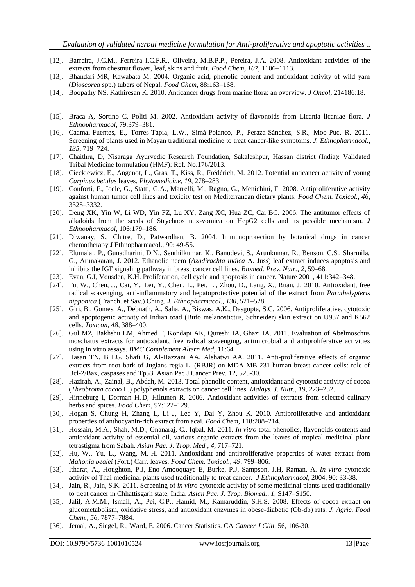- [12]. Barreira, J.C.M., Ferreira I.C.F.R., Oliveira, M.B.P.P., Pereira, J.A. 2008. Antioxidant activities of the extracts from chestnut flower, leaf, skins and fruit. *Food Chem*, *107*, 1106–1113.
- [13]. Bhandari MR, Kawabata M. 2004. Organic acid, phenolic content and antioxidant activity of wild yam (*Dioscorea* spp.) tubers of Nepal. *Food Chem*, 88:163–168.
- [14]. Boopathy NS, Kathiresan K. 2010. Anticancer drugs from marine flora: an overview. *J Oncol*, 214186:18.
- [15]. Braca A, Sortino C, Politi M. 2002. Antioxidant activity of flavonoids from Licania licaniae flora. *J Ethnopharmacol*, 79:379–381.
- [16]. Caamal-Fuentes, E., Torres-Tapia, L.W., Simá-Polanco, P., Peraza-Sánchez, S.R., Moo-Puc, R. 2011. Screening of plants used in Mayan traditional medicine to treat cancer-like symptoms. *J. Ethnopharmacol.*, *135*, 719–724.
- [17]. Chaithra, D, Nisaraga Ayurvedic Research Foundation, Sakaleshpur, Hassan district (India): Validated Tribal Medicine formulation (HMF): Ref. No.176/2013.
- [18]. Cieckiewicz, E., Angenot, L., Gras, T., Kiss, R., Frédérich, M. 2012. Potential anticancer activity of young *Carpinus betulus* leaves. *Phytomedicine*, *19*, 278–283.
- [19]. Conforti, F., Ioele, G., Statti, G.A., Marrelli, M., Ragno, G., Menichini, F. 2008. Antiproliferative activity against human tumor cell lines and toxicity test on Mediterranean dietary plants. *Food Chem. Toxicol.*, *46*, 3325–3332.
- [20]. Deng XK, Yin W, Li WD, Yin FZ, Lu XY, Zang XC, Hua ZC, Cai BC. 2006. The antitumor effects of alkaloids from the seeds of Strychnos nux-vomica on HepG2 cells and its possible mechanism. *J Ethnopharmacol*, 106:179–186.
- [21]. Diwanay, S., Chitre, D., Patwardhan, B. 2004. Immunoprotection by botanical drugs in cancer chemotherapy J Ethnopharmacol., 90: 49-55.
- [22]. Elumalai, P., Gunadharini, D.N., Senthilkumar, K., Banudevi, S., Arunkumar, R., Benson, C.S., Sharmila, G., Arunakaran, J. 2012. Ethanolic neem (*Azadirachta indica* A. Juss) leaf extract induces apoptosis and inhibits the IGF signaling pathway in breast cancer cell lines. *Biomed. Prev. Nutr.*, *2*, 59–68.
- [23]. Evan, G.I, Vousden, K.H. Proliferation, cell cycle and apoptosis in cancer. Nature 2001, 411:342–348.
- [24]. Fu, W., Chen, J., Cai, Y., Lei, Y., Chen, L., Pei, L., Zhou, D., Lang, X., Ruan, J. 2010. Antioxidant, free radical scavenging, anti-inflammatory and hepatoprotective potential of the extract from *Parathelypteris nipponica* (Franch. et Sav.) Ching. *J. Ethnopharmacol.*, *130*, 521–528.
- [25]. Giri, B., Gomes, A., Debnath, A., Saha, A., Biswas, A.K., Dasgupta, S.C. 2006. Antiproliferative, cytotoxic and apoptogenic activity of Indian toad (Bufo melanostictus, Schneider) skin extract on U937 and K562 cells. *Toxicon*, *48*, 388–400.
- [26]. Gul MZ, Bakhshu LM, Ahmed F, Kondapi AK, Qureshi IA, Ghazi IA. 2011. Evaluation of Abelmoschus moschatus extracts for antioxidant, free radical scavenging, antimicrobial and antiproliferative activities using in vitro assays. *BMC Complement Altern Med*, 11:64.
- [27]. Hasan TN, B LG, Shafi G, Al-Hazzani AA, Alshatwi AA. 2011. Anti-proliferative effects of organic extracts from root bark of Juglans regia L. (RBJR) on MDA-MB-231 human breast cancer cells: role of Bcl-2/Bax, caspases and Tp53. Asian Pac J Cancer Prev, 12, 525-30.
- [28]. Hazirah, A., Zainal, B., Abdah, M. 2013. Total phenolic content, antioxidant and cytotoxic activity of cocoa (*Theobroma cacao* L.) polyphenols extracts on cancer cell lines. *Malays. J. Nutr.*, *19*, 223–232.
- [29]. Hinneburg I, Dorman HJD, Hiltunen R. 2006. Antioxidant activities of extracts from selected culinary herbs and spices. *Food Chem*, 97:122–129.
- [30]. Hogan S, Chung H, Zhang L, Li J, Lee Y, Dai Y, Zhou K. 2010. Antiproliferative and antioxidant properties of anthocyanin-rich extract from acai. *Food Chem*, 118:208–214.
- [31]. Hossain, M.A., Shah, M.D., Gnanaraj, C., Iqbal, M. 2011. *In vitro* total phenolics, flavonoids contents and antioxidant activity of essential oil, various organic extracts from the leaves of tropical medicinal plant tetrastigma from Sabah. *Asian Pac. J. Trop. Med.*, *4*, 717–721.
- [32]. Hu, W., Yu, L., Wang, M.-H. 2011. Antioxidant and antiproliferative properties of water extract from *Mahonia bealei* (Fort.) Carr. leaves. *Food Chem. Toxicol.*, *49*, 799–806.
- [33]. Itharat, A., Houghton, P.J, Eno-Amooquaye E, Burke, P.J, Sampson, J.H, Raman, A. *In vitro* cytotoxic activity of Thai medicinal plants used traditionally to treat cancer. *J Ethnopharmacol*, 2004, 90: 33-38.
- [34]. Jain, R., Jain, S.K. 2011. Screening of *in vitro* cytotoxic activity of some medicinal plants used traditionally to treat cancer in Chhattisgarh state, India. *Asian Pac. J. Trop. Biomed.*, *1*, S147–S150.
- [35]. Jalil, A.M.M., Ismail, A., Pei, C.P., Hamid, M., Kamaruddin, S.H.S. 2008. Effects of cocoa extract on glucometabolism, oxidative stress, and antioxidant enzymes in obese-diabetic (Ob-db) rats. *J. Agric. Food Chem.*, *56*, 7877–7884.
- [36]. Jemal, A., Siegel, R., Ward, E. 2006. Cancer Statistics. CA *Cancer J Clin*, 56, 106-30.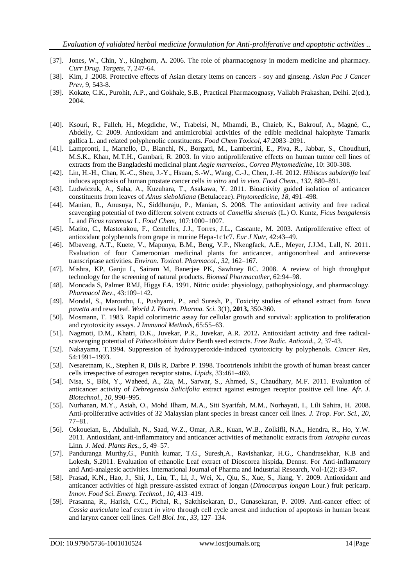- [37]. Jones, W., Chin, Y., Kinghorn, A. 2006. The role of pharmacognosy in modern medicine and pharmacy. *Curr Drug. Targets*, 7, 247-64.
- [38]. Kim, J .2008. Protective effects of Asian dietary items on cancers soy and ginseng. *Asian Pac J Cancer Prev*, 9, 543-8.
- [39]. Kokate, C.K., Purohit, A.P., and Gokhale, S.B., Practical Pharmacognasy, Vallabh Prakashan, Delhi. 2(ed.), 2004.
- [40]. Ksouri, R., Falleh, H., Megdiche, W., Trabelsi, N., Mhamdi, B., Chaieb, K., Bakrouf, A., Magné, C., Abdelly, C: 2009. Antioxidant and antimicrobial activities of the edible medicinal halophyte Tamarix gallica L. and related polyphenolic constituents. *Food Chem Toxicol*, 47:2083–2091.
- [41]. Lampronti, I., Martello, D., Bianchi, N., Borgatti, M., Lambertini, E., Piva, R., Jabbar, S., Choudhuri, M.S.K., Khan, M.T.H., Gambari, R. 2003. In vitro antiproliferative effects on human tumor cell lines of extracts from the Bangladeshi medicinal plant *Aegle marmelos*., *Correa Phytomedicine*, 10: 300-308.
- [42]. Lin, H.-H., Chan, K.-C., Sheu, J.-Y., Hsuan, S.-W., Wang, C.-J., Chen, J.-H. 2012. *Hibiscus sabdariffa* leaf induces apoptosis of human prostate cancer cells *in vitro* and *in vivo*. *Food Chem.*, *132*, 880–891.
- [43]. Ludwiczuk, A., Saha, A., Kuzuhara, T., Asakawa, Y. 2011. Bioactivity guided isolation of anticancer constituents from leaves of *Alnus sieboldiana* (Betulaceae). *Phytomedicine*, *18*, 491–498.
- [44]. Manian, R., Anusuya, N., Siddhuraju, P., Manian, S. 2008. The antioxidant activity and free radical scavenging potential of two different solvent extracts of *Camellia sinensis* (L.) O. Kuntz, *Ficus bengalensis*  L. and *Ficus racemosa* L. *Food Chem*, 107:1000–1007.
- [45]. Matito, C., Mastorakou, F., Centelles, J.J., Torres, J.L., Cascante, M. 2003. Antiproliferative effect of antioxidant polyphenols from grape in murine Hepa-1c1c7. *Eur J Nutr*, 42:43–49.
- [46]. Mbaveng, A.T., Kuete, V., Mapunya, B.M., Beng, V.P., Nkengfack, A.E., Meyer, J.J.M., Lall, N. 2011. Evaluation of four Cameroonian medicinal plants for anticancer, antigonorrheal and antireverse transcriptase activities. *Environ. Toxicol. Pharmacol.*, *32*, 162–167.
- [47]. Mishra, KP, Ganju L, Sairam M, Banerjee PK, Sawhney RC. 2008. A review of high throughput technology for the screening of natural products. *Biomed Pharmacother*, 62:94–98.
- [48]. Moncada S, Palmer RMJ, Higgs EA. 1991. Nitric oxide: physiology, pathophysiology, and pharmacology. *Pharmacol Rev*., 43:109–142.
- [49]. Mondal, S., Marouthu, I., Pushyami, P., and Suresh, P., Toxicity studies of ethanol extract from *Ixora pavetta* and rews leaf. *World J. Pharm. Pharma. Sci.* 3(1), **2013,** 350-360.
- [50]. Mosmann, T. 1983. Rapid colorimetric assay for cellular growth and survival: application to proliferation and cytotoxicity assays. *J Immunol Methods*, 65:55–63.
- [51]. Nagmoti, D.M., Khatri, D.K., Juvekar, P.R., Juvekar, A.R. 2012**.** Antioxidant activity and free radicalscavenging potential of *Pithecellobium dulce* Benth seed extracts. *Free Radic. Antioxid.*, *2*, 37-43.
- [52]. Nakayama, T.1994. Suppression of hydroxyperoxide-induced cytotoxicity by polyphenols. *Cancer Res*, 54:1991–1993.
- [53]. Nesaretnam, K., Stephen R, Dils R, Darbre P. 1998. Tocotrienols inhibit the growth of human breast cancer cells irrespective of estrogen receptor status. *Lipids*, 33:461–469.
- [54]. Nisa, S., Bibi, Y., Waheed, A., Zia, M., Sarwar, S., Ahmed, S., Chaudhary, M.F. 2011. Evaluation of anticancer activity of *Debregeasia Salicifolia* extract against estrogen receptor positive cell line. *Afr. J. Biotechnol.*, *10*, 990–995.
- [55]. Nurhanan, M.Y., Asiah, O., Mohd Ilham, M.A., Siti Syarifah, M.M., Norhayati, I., Lili Sahira, H. 2008. Anti-proliferative activities of 32 Malaysian plant species in breast cancer cell lines. *J. Trop. For. Sci.*, *20*, 77–81.
- [56]. Oskoueian, E., Abdullah, N., Saad, W.Z., Omar, A.R., Kuan, W.B., Zolkifli, N.A., Hendra, R., Ho, Y.W. 2011. Antioxidant, anti-inflammatory and anticancer activities of methanolic extracts from *Jatropha curcas*  Linn. *J. Med. Plants Res.*, *5*, 49–57.
- [57]. Panduranga Murthy,G., Punith kumar, T.G., Suresh,A., Ravishankar, H.G., Chandrasekhar, K.B and Lokesh, S.2011. Evaluation of ethanolic Leaf extract of Dioscorea hispida, Dennst. For Anti-inflamatory and Anti-analgesic activities. International Journal of Pharma and Industrial Research, Vol-1(2): 83-87.
- [58]. Prasad, K.N., Hao, J., Shi, J., Liu, T., Li, J., Wei, X., Qiu, S., Xue, S., Jiang, Y. 2009. Antioxidant and anticancer activities of high pressure-assisted extract of longan (*Dimocarpus longan* Lour.) fruit pericarp. *Innov. Food Sci. Emerg. Technol.*, *10*, 413–419.
- [59]. Prasanna, R., Harish, C.C., Pichai, R., Sakthisekaran, D., Gunasekaran, P. 2009. Anti-cancer effect of *Cassia auriculata* leaf extract *in vitro* through cell cycle arrest and induction of apoptosis in human breast and larynx cancer cell lines. *Cell Biol. Int.*, *33*, 127–134.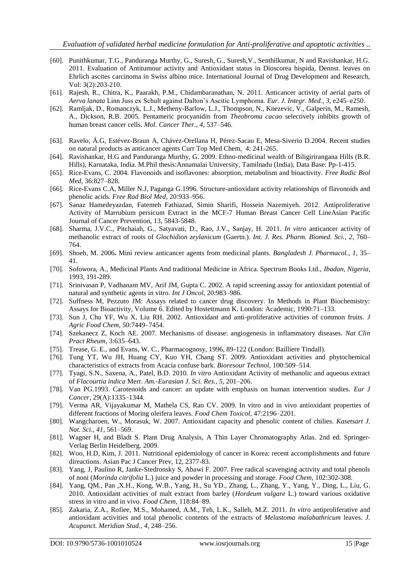- [60]. Punithkumar, T.G., Panduranga Murthy, G., Suresh, G., Suresh,V., Senthilkumar, N and Ravishankar, H.G. 2011. Evaluation of Antitumour activity and Antioxidant status in Dioscorea hispida, Dennst. leaves on Ehrlich ascites carcinoma in Swiss albino mice. International Journal of Drug Development and Research, Vol: 3(2):203-210.
- [61]. Rajesh, R., Chitra, K., Paarakh, P.M., Chidambaranathan, N. 2011. Anticancer activity of aerial parts of *Aerva lanata* Linn Juss ex Schult against Dalton's Ascitic Lymphoma. *Eur. J. Integr. Med.*, *3*, e245–e250.
- [62]. Ramljak, D., Romanczyk, L.J., Metheny-Barlow, L.J., Thompson, N., Knezevic, V., Galperin, M., Ramesh, A., Dickson, R.B. 2005. Pentameric procyanidin from *Theobroma cacao* selectively inhibits growth of human breast cancer cells. *Mol. Cancer Ther.*, *4*, 537–546.
- [63]. Ravelo, Á.G, Estévez-Braun A, Chávez-Orellana H, Pérez-Sacau E, Mesa-Siverio D.2004. Recent studies on natural products as anticancer agents Curr Top Med Chem, 4: 241-265.
- [64]. Ravishankar, H.G and Panduranga Murthy, G. 2009. Ethno-medicinal wealth of Biligirirangana Hills (B.R. Hills), Karnataka, India. M.Phil thesis:Annamalai University, Tamilnadu (India), Data Base: Pp-1-415.
- [65]. Rice-Evans, C. 2004. Flavonoids and isoflavones: absorption, metabolism and bioactivity. *Free Radic Biol Med*, 36:827–828.
- [66]. Rice-Evans C.A, Miller N.J, Paganga G.1996. Structure-antioxidant activity relationships of flavonoids and phenolic acids. *Free Rad Biol Med*, 20:933–956.
- [67]. Sanaz Hamedeyazdan, Fatemeh Fathiazad, Simin Sharifi, Hossein Nazemiyeh. 2012. Antiproliferative Activity of Marrubium persicum Extract in the MCF-7 Human Breast Cancer Cell LineAsian Pacific Journal of Cancer Prevention, 13, 5843-5848.
- [68]. Sharma, J.V.C., Pitchaiah, G., Satyavati, D., Rao, J.V., Sanjay, H. 2011. *In vitro* anticancer activity of methanolic extract of roots of *Glochidion zeylanicum* (Gaertn.). *Int. J. Res. Pharm. Biomed. Sci.*, *2*, 760– 764.
- [69]. Shoeb, M. 2006**.** Mini review anticancer agents from medicinal plants. *Bangladesh J. Pharmacol.*, *1*, 35– 41.
- [70]. Sofowora, A., Medicinal Plants And traditional Medicine in Africa. Spectrum Books Ltd., *Ibadan, Nigeria*, 1993, 191-289.
- [71]. Srinivasan P, Vadhanam MV, Arif JM, Gupta C. 2002. A rapid screening assay for antioxidant potential of natural and synthetic agents in vitro. *Int J Oncol*, 20:983–986.
- [72]. Suffness M, Pezzuto JM: Assays related to cancer drug discovery. In Methods in Plant Biochemistry: Assays for Bioactivity, Volume 6. Edited by Hostettmann K. London: Academic, 1990:71–133.
- [73]. Sun J, Chu YF, Wu X, Liu RH. 2002. Antioxidant and anti-proliferative activities of common fruits. *J Agric Food Chem*, 50:7449–7454.
- [74]. Szekanecz Z, Koch AE. 2007. Mechanisms of disease: angiogenesis in inflammatory diseases. *Nat Clin Pract Rheum*, 3:635–643.
- [75]. Trease, G. E., and Evans, W. C., Pharmacognosy, 1996, 89-122 (London: Bailliere Tindall).
- [76]. Tung YT, Wu JH, Huang CY, Kuo YH, Chang ST. 2009. Antioxidant activities and phytochemical characteristics of extracts from Acacia confuse bark. *Bioresour Technol*, 100:509–514.
- [77]. Tyagi, S.N., Saxena, A., Patel, B.D. 2010*. In vitro* Antioxidant Activity of methanolic and aqueous extract of *Flacourtia indica* Merr. *Am.-Eurasian J. Sci. Res.*, *5*, 201–206.
- [78]. Van PG.1993. Carotenoids and cancer: an update with emphasis on human intervention studies. *Eur J Cancer*, 29(A):1335–1344.
- [79]. Verma AR, Vijayakumar M, Mathela CS, Rao CV. 2009. In vitro and in vivo antioxidant properties of different fractions of Moring oleifera leaves. *Food Chem Toxicol*, 47:2196–2201.
- [80]. Wangcharoen, W., Morasuk, W. 2007. Antioxidant capacity and phenolic content of chilies. *Kasetsart J. Nat. Sci.*, *41*, 561–569.
- [81]. Wagner H, and Bladt S. Plant Drug Analysis, A Thin Layer Chromatography Atlas. 2nd ed. Springer-Verlag Berlin Heidelberg*.* 2009.
- [82]. Woo, H.D, Kim, J. 2011. Nutritional epidemiology of cancer in Korea: recent accomplishments and future direactions. Asian Pac J Cancer Prev, 12, 2377-83.
- [83]. Yang, J, Paulino R, Janke-Stedronsky S, Abawi F. 2007. Free radical scavenging activity and total phenols of noni (*Morinda citrifolia* L.) juice and powder in processing and storage. *Food Chem*, 102:302-308.
- [84]. Yang, QM., Pan ,X.H., Kong, W.B., Yang, H., Su YD., Zhang, L., Zhang, Y., Yang, Y., Ding, L., Liu, G. 2010. Antioxidant activities of malt extract from barley (*Hordeum vulgare* L.) toward various oxidative stress in vitro and in vivo. *Food Chem*, 118:84–89.
- [85]. Zakaria, Z.A., Rofiee, M.S., Mohamed, A.M., Teh, L.K., Salleh, M.Z. 2011. *In vitro* antiproliferative and antioxidant activities and total phenolic contents of the extracts of *Melastoma malabathricum* leaves. *J. Acupunct. Meridian Stud.*, *4*, 248–256.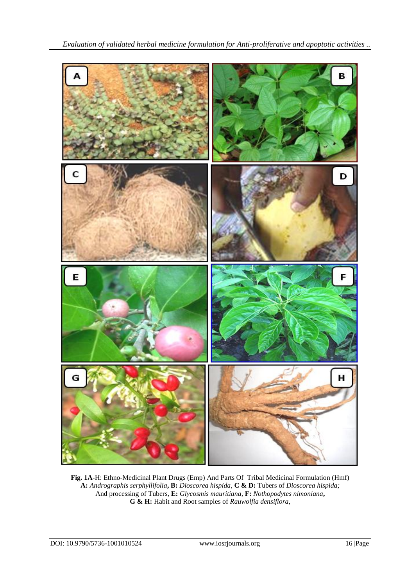

**Fig. 1A**-H: Ethno-Medicinal Plant Drugs (Emp) And Parts Of Tribal Medicinal Formulation (Hmf) **A:** *Andrographis serphyllifolia***, B:** *Dioscorea hispida*, **C & D:** Tubers of *Dioscorea hispida;* And processing of Tubers, **E:** *Glycosmis mauritiana,* **F:** *Nothopodytes nimoniana***, G & H:** Habit and Root samples of *Rauwolfia densiflora*,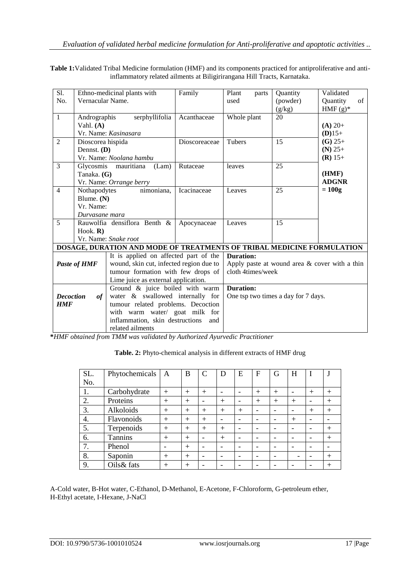**Table 1:**Validated Tribal Medicine formulation (HMF) and its components practiced for antiproliferative and antiinflammatory related ailments at Biligirirangana Hill Tracts, Karnataka.

| $\overline{S1}$ .      |                     | Ethno-medicinal plants with                                            | Family        | Plant<br>parts                                   | Quantity        | Validated      |  |
|------------------------|---------------------|------------------------------------------------------------------------|---------------|--------------------------------------------------|-----------------|----------------|--|
| No.                    | Vernacular Name.    |                                                                        |               | used                                             | (powder)        | of<br>Quantity |  |
|                        |                     |                                                                        |               |                                                  | (g/kg)          | HMF $(g)^*$    |  |
| $\mathbf{1}$           | Andrographis        | serphyllifolia                                                         | Acanthaceae   | Whole plant                                      | 20              |                |  |
|                        | Vahl. $(A)$         |                                                                        |               |                                                  |                 | $(A) 20+$      |  |
|                        |                     | Vr. Name: Kasinasara                                                   |               |                                                  |                 | $(D)15+$       |  |
| $\overline{2}$         | Dioscorea hispida   |                                                                        | Dioscoreaceae | <b>Tubers</b>                                    | 15              | $(G)$ 25+      |  |
|                        | Dennst. (D)         |                                                                        |               |                                                  |                 | $(N)$ 25+      |  |
|                        |                     | Vr. Name: Noolana hambu                                                |               |                                                  |                 | $(R)$ 15+      |  |
| $\overline{3}$         |                     | Glycosmis mauritiana<br>(Lam)                                          | Rutaceae      | leaves                                           | $\overline{25}$ |                |  |
|                        | Tanaka. (G)         |                                                                        |               |                                                  |                 | (HMF)          |  |
|                        |                     | Vr. Name: Orrange berry                                                |               |                                                  |                 | <b>ADGNR</b>   |  |
| $\overline{4}$         | Nothapodytes        | nimoniana,                                                             | Icacinaceae   | Leaves                                           | 25              | $= 100g$       |  |
|                        | Blume. (N)          |                                                                        |               |                                                  |                 |                |  |
|                        | Vr. Name:           |                                                                        |               |                                                  |                 |                |  |
| Durvasane mara         |                     |                                                                        |               |                                                  |                 |                |  |
| 5                      |                     | Rauwolfia densiflora Benth &                                           | Apocynaceae   | Leaves                                           | 15              |                |  |
|                        | Hook. $\bf{R}$ )    |                                                                        |               |                                                  |                 |                |  |
|                        |                     | Vr. Name: Snake root                                                   |               |                                                  |                 |                |  |
|                        |                     | DOSAGE, DURATION AND MODE OF TREATMENTS OF TRIBAL MEDICINE FORMULATION |               |                                                  |                 |                |  |
|                        |                     | It is applied on affected part of the                                  |               | <b>Duration:</b>                                 |                 |                |  |
|                        | <b>Paste of HMF</b> | wound, skin cut, infected region due to                                |               | Apply paste at wound area $\&$ cover with a thin |                 |                |  |
|                        |                     | tumour formation with few drops of                                     |               | cloth 4times/week                                |                 |                |  |
|                        |                     | Lime juice as external application.                                    |               |                                                  |                 |                |  |
|                        |                     | Ground & juice boiled with warm                                        |               | <b>Duration:</b>                                 |                 |                |  |
| <b>Decoction</b><br>of |                     | water & swallowed internally for                                       |               | One tsp two times a day for 7 days.              |                 |                |  |
| <b>HMF</b>             |                     | tumour related problems. Decoction                                     |               |                                                  |                 |                |  |
|                        |                     | with warm water/ goat milk for                                         |               |                                                  |                 |                |  |
|                        |                     | inflammation, skin destructions                                        | and           |                                                  |                 |                |  |
| related ailments       |                     |                                                                        |               |                                                  |                 |                |  |

**\****HMF obtained from TMM was validated by Authorized Ayurvedic Practitioner*

**Table. 2:** Phyto-chemical analysis in different extracts of HMF drug

| SL. | Phytochemicals | $\mathbf{A}$ | B              | $\mathcal{C}$            | D      | E   | F      | G      | Η                        |        |        |
|-----|----------------|--------------|----------------|--------------------------|--------|-----|--------|--------|--------------------------|--------|--------|
| No. |                |              |                |                          |        |     |        |        |                          |        |        |
| 1.  | Carbohydrate   | $+$          | $+$            | $+$                      |        |     | $+$    | $^{+}$ |                          | $^{+}$ | $^{+}$ |
| 2.  | Proteins       | $+$          | $^{+}$         | -                        | $^{+}$ |     | $^{+}$ | $^{+}$ | $^{+}$                   | -      | $^{+}$ |
| 3.  | Alkoloids      | $^{+}$       | $\overline{+}$ | $^{+}$                   | $^{+}$ | $+$ |        | -      |                          | $^{+}$ | $^{+}$ |
| 4.  | Flavonoids     | $^{+}$       | $+$            | $+$                      |        |     |        |        | $^{+}$                   |        |        |
| 5.  | Terpenoids     | $^{+}$       | $^{+}$         | $^{+}$                   | $^{+}$ |     |        |        |                          |        | $^{+}$ |
| 6.  | Tannins        | $+$          | $+$            | $\overline{\phantom{0}}$ | $+$    |     |        |        |                          |        | $+$    |
| 7.  | Phenol         | -            | $+$            | -                        |        |     |        |        |                          |        |        |
| 8.  | Saponin        | $+$          | $^{+}$         |                          |        |     |        |        | $\overline{\phantom{0}}$ |        | $^{+}$ |
| 9.  | Oils& fats     | $^{+}$       | $\,+\,$        |                          |        |     |        |        |                          |        | $^{+}$ |

A-Cold water, B-Hot water, C-Ethanol, D-Methanol, E-Acetone, F-Chloroform, G-petroleum ether, H-Ethyl acetate, I-Hexane, J-NaCl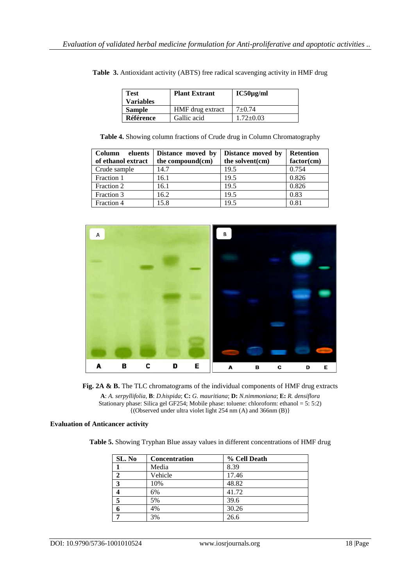| <b>Test</b><br><b>Variables</b> | <b>Plant Extrant</b> | $IC50\mu g/ml$  |
|---------------------------------|----------------------|-----------------|
| <b>Sample</b>                   | HMF drug extract     | $7+0.74$        |
| Référence                       | Gallic acid          | $1.72 \pm 0.03$ |

**Table 3.** Antioxidant activity (ABTS) free radical scavenging activity in HMF drug

**Table 4.** Showing column fractions of Crude drug in Column Chromatography

| <b>Column</b><br>eluents<br>of ethanol extract | Distance moved by<br>the compound(cm) | Distance moved by<br>the solvent(cm) | <b>Retention</b><br>factor(cm) |
|------------------------------------------------|---------------------------------------|--------------------------------------|--------------------------------|
| Crude sample                                   | 14.7                                  | 19.5                                 | 0.754                          |
| Fraction 1                                     | 16.1                                  | 19.5                                 | 0.826                          |
| Fraction 2                                     | 16.1                                  | 19.5                                 | 0.826                          |
| Fraction 3                                     | 16.2                                  | 19.5                                 | 0.83                           |
| Fraction 4                                     | 15.8                                  | 19.5                                 | 0.81                           |





**A**: *A. serpyllifolia*, **B**: *D.hispida*; **C:** *G. mauritiana*; **D:** *N.nimmoniana*; **E:** *R. densiflora* Stationary phase: Silica gel GF254; Mobile phase: toluene: chloroform: ethanol = 5: 5:2) {(Observed under ultra violet light 254 nm (A) and 366nm (B)}

# **Evaluation of Anticancer activity**

**Table 5.** Showing Tryphan Blue assay values in different concentrations of HMF drug

| SL. No       | Concentration | % Cell Death |
|--------------|---------------|--------------|
|              | Media         | 8.39         |
| $\mathbf{2}$ | Vehicle       | 17.46        |
| 3            | 10%           | 48.82        |
|              | 6%            | 41.72        |
| 5            | 5%            | 39.6         |
| 6            | 4%            | 30.26        |
|              | 3%            | 26.6         |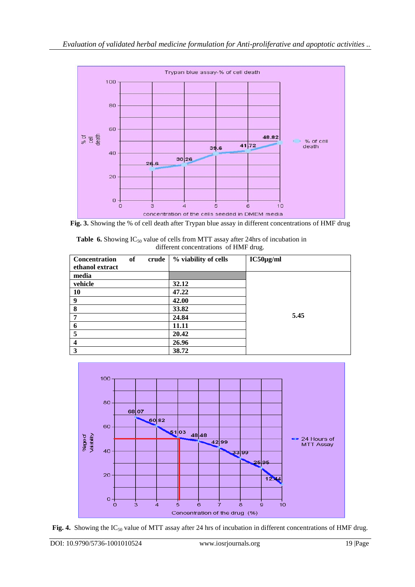

**Fig. 3.** Showing the % of cell death after Trypan blue assay in different concentrations of HMF drug

| <b>Table 6.</b> Showing $IC_{50}$ value of cells from MTT assay after 24hrs of incubation in |
|----------------------------------------------------------------------------------------------|
| different concentrations of HMF drug.                                                        |

| <b>Concentration</b><br>ethanol extract | of | crude | % viability of cells | $IC50\mu g/ml$ |
|-----------------------------------------|----|-------|----------------------|----------------|
| media                                   |    |       |                      |                |
| vehicle                                 |    |       | 32.12                |                |
| 10                                      |    |       | 47.22                |                |
| 9                                       |    |       | 42.00                |                |
| 8                                       |    |       | 33.82                |                |
|                                         |    |       | 24.84                | 5.45           |
| 6                                       |    |       | 11.11                |                |
| 5                                       |    |       | 20.42                |                |
| $\overline{\mathbf{4}}$                 |    |       | 26.96                |                |
| 3                                       |    |       | 38.72                |                |



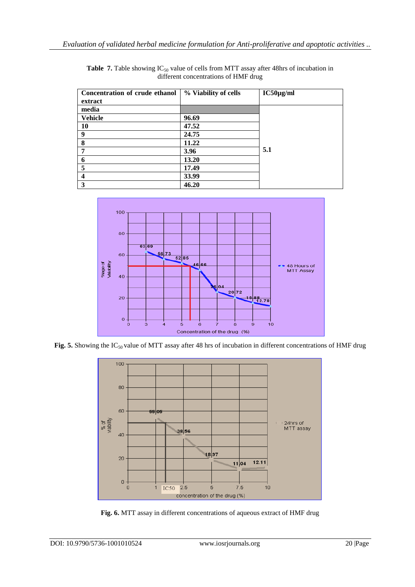| Concentration of crude ethanol | % Viability of cells | $IC50\mu g/ml$ |
|--------------------------------|----------------------|----------------|
| extract                        |                      |                |
| media                          |                      |                |
| <b>Vehicle</b>                 | 96.69                |                |
| 10                             | 47.52                |                |
| 9                              | 24.75                |                |
| 8                              | 11.22                |                |
| 7                              | 3.96                 | 5.1            |
| 6                              | 13.20                |                |
| 5                              | 17.49                |                |
| $\overline{\mathbf{4}}$        | 33.99                |                |
| 3                              | 46.20                |                |

Table 7. Table showing IC<sub>50</sub> value of cells from MTT assay after 48hrs of incubation in different concentrations of HMF drug



Fig. 5. Showing the IC<sub>50</sub> value of MTT assay after 48 hrs of incubation in different concentrations of HMF drug



**Fig. 6.** MTT assay in different concentrations of aqueous extract of HMF drug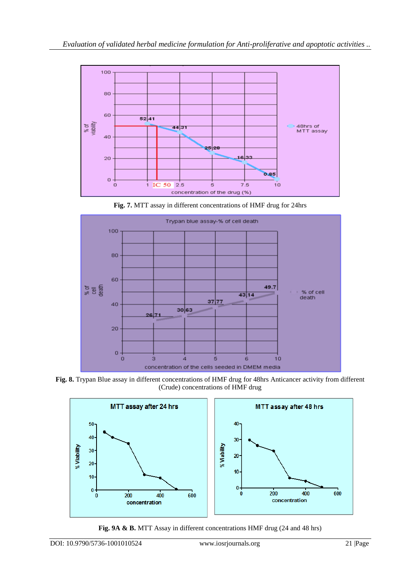

**Fig. 7.** MTT assay in different concentrations of HMF drug for 24hrs



**Fig. 8.** Trypan Blue assay in different concentrations of HMF drug for 48hrs Anticancer activity from different (Crude) concentrations of HMF drug



**Fig. 9A & B.** MTT Assay in different concentrations HMF drug (24 and 48 hrs)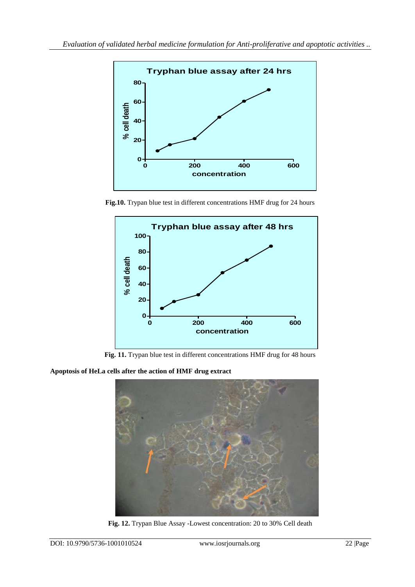

**Fig.10.** Trypan blue test in different concentrations HMF drug for 24 hours



Fig. 11. Trypan blue test in different concentrations HMF drug for 48 hours

**Apoptosis of HeLa cells after the action of HMF drug extract**



**Fig. 12.** Trypan Blue Assay -Lowest concentration: 20 to 30% Cell death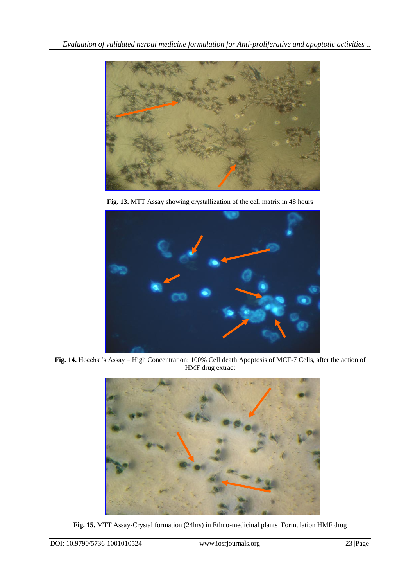

**Fig. 13.** MTT Assay showing crystallization of the cell matrix in 48 hours



**Fig. 14.** Hoechst's Assay – High Concentration: 100% Cell death Apoptosis of MCF-7 Cells, after the action of HMF drug extract



**Fig. 15.** MTT Assay-Crystal formation (24hrs) in Ethno-medicinal plants Formulation HMF drug